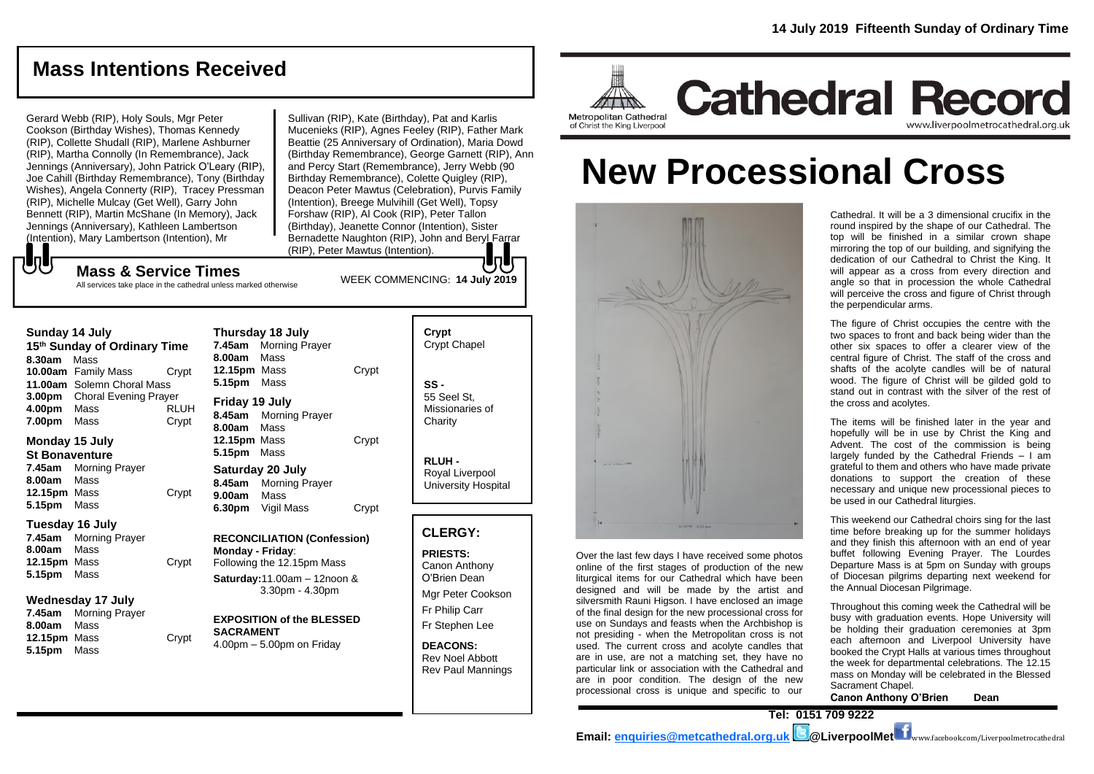**Cathedral Record** 

# **Mass Intentions Received**

Gerard Webb (RIP), Holy Souls, Mgr Peter Cookson (Birthday Wishes), Thomas Kennedy (RIP), Collette Shudall (RIP), Marlene Ashburner (RIP), Martha Connolly (In Remembrance), Jack Jennings (Anniversary), John Patrick O'Leary (RIP), Joe Cahill (Birthday Remembrance), Tony (Birthday Wishes), Angela Connerty (RIP), Tracey Pressman (RIP), Michelle Mulcay (Get Well), Garry John Bennett (RIP), Martin McShane (In Memory), Jack Jennings (Anniversary), Kathleen Lambertson (Intention), Mary Lambertson (Intention), Mr

Sullivan (RIP), Kate (Birthday), Pat and Karlis Mucenieks (RIP), Agnes Feeley (RIP), Father Mark Beattie (25 Anniversary of Ordination), Maria Dowd (Birthday Remembrance), George Garnett (RIP), Ann and Percy Start (Remembrance), Jerry Webb (90 Birthday Remembrance), Colette Quigley (RIP), Deacon Peter Mawtus (Celebration), Purvis Family (Intention), Breege Mulvihill (Get Well), Topsy Forshaw (RIP), Al Cook (RIP), Peter Tallon (Birthday), Jeanette Connor (Intention), Sister Bernadette Naughton (RIP), John and BeryLFarrar (RIP), Peter Mawtus (Intention).

WEEK COMMENCING: **14 July 2019**

## **Mass & Service Times**

All services take place in the cathedral unless marked otherwise

#### **Sunday 14 July**

もし

**15th Sunday of Ordinary Time 8.30am** Mass **10.00am** Family Mass Crypt **11.00am** Solemn Choral Mass **3.00pm** Choral Evening Prayer **4.00pm** Mass RLUH **7.00pm** Mass Crypt

#### **Monday 15 July St Bonaventure**

**7.45am** Morning Prayer **8.00am** Mass **12.15pm** Mass Crypt **5.15pm** Mass

#### **Tuesday 16 July**

**7.45am** Morning Prayer **8.00am** Mass **12.15pm** Mass Crypt **5.15pm** Mass

#### **Wednesday 17 July**

**7.45am** Morning Prayer **8.00am** Mass **12.15pm** Mass Crypt **5.15pm** Mass

**Thursday 18 July 7.45am** Morning Prayer **8.00am** Mass **12.15pm** Mass Crypt **5.15pm** Mass **Friday 19 July 8.45am** Morning Prayer **8.00am** Mass **12.15pm** Mass Crypt

**Saturday 20 July 8.45am** Morning Prayer **9.00am** Mass **6.30pm** Vigil Mass Crypt

**5.15pm** Mass

**RECONCILIATION (Confession) Monday - Friday**: Following the 12.15pm Mass

**Saturday:**11.00am – 12noon & 3.30pm - 4.30pm

#### **EXPOSITION of the BLESSED SACRAMENT** 4.00pm – 5.00pm on Friday

## **Crypt**  Crypt Chapel

**SS -** 55 Seel St, Missionaries of **Charity** 

**RLUH -** Royal Liverpool University Hospital

#### **CLERGY:**

**PRIESTS:** Canon Anthony O'Brien *Dean*

Mgr Peter Cookson Fr Philip Carr Fr Stephen Lee

**DEACONS:** Rev Noel Abbott Rev Paul Mannings





Metropolitan Cathedral

of Christ the King Liverpool

Over the last few days I have received some photos online of the first stages of production of the new liturgical items for our Cathedral which have been designed and will be made by the artist and silversmith Rauni Higson. I have enclosed an image of the final design for the new processional cross for use on Sundays and feasts when the Archbishop is not presiding - when the Metropolitan cross is not used. The current cross and acolyte candles that are in use, are not a matching set, they have no particular link or association with the Cathedral and are in poor condition. The design of the new processional cross is unique and specific to our

Cathedral. It will be a 3 dimensional crucifix in the round inspired by the shape of our Cathedral. The top will be finished in a similar crown shape mirroring the top of our building, and signifying the dedication of our Cathedral to Christ the King. It will appear as a cross from every direction and angle so that in procession the whole Cathedral will perceive the cross and figure of Christ through the perpendicular arms.

www.liverpoolmetrocathedral.org.uk

The figure of Christ occupies the centre with the two spaces to front and back being wider than the other six spaces to offer a clearer view of the central figure of Christ. The staff of the cross and shafts of the acolyte candles will be of natural wood. The figure of Christ will be gilded gold to stand out in contrast with the silver of the rest of the cross and acolytes.

The items will be finished later in the year and hopefully will be in use by Christ the King and Advent. The cost of the commission is being largely funded by the Cathedral Friends – I am grateful to them and others who have made private donations to support the creation of these necessary and unique new processional pieces to be used in our Cathedral liturgies.

This weekend our Cathedral choirs sing for the last time before breaking up for the summer holidays and they finish this afternoon with an end of year buffet following Evening Prayer. The Lourdes Departure Mass is at 5pm on Sunday with groups of Diocesan pilgrims departing next weekend for the Annual Diocesan Pilgrimage.

Throughout this coming week the Cathedral will be busy with graduation events. Hope University will be holding their graduation ceremonies at 3pm each afternoon and Liverpool University have booked the Crypt Halls at various times throughout the week for departmental celebrations. The 12.15 mass on Monday will be celebrated in the Blessed Sacrament Chapel.

**Canon Anthony O'Brien Dean**

**Tel: 0151 709 9222**